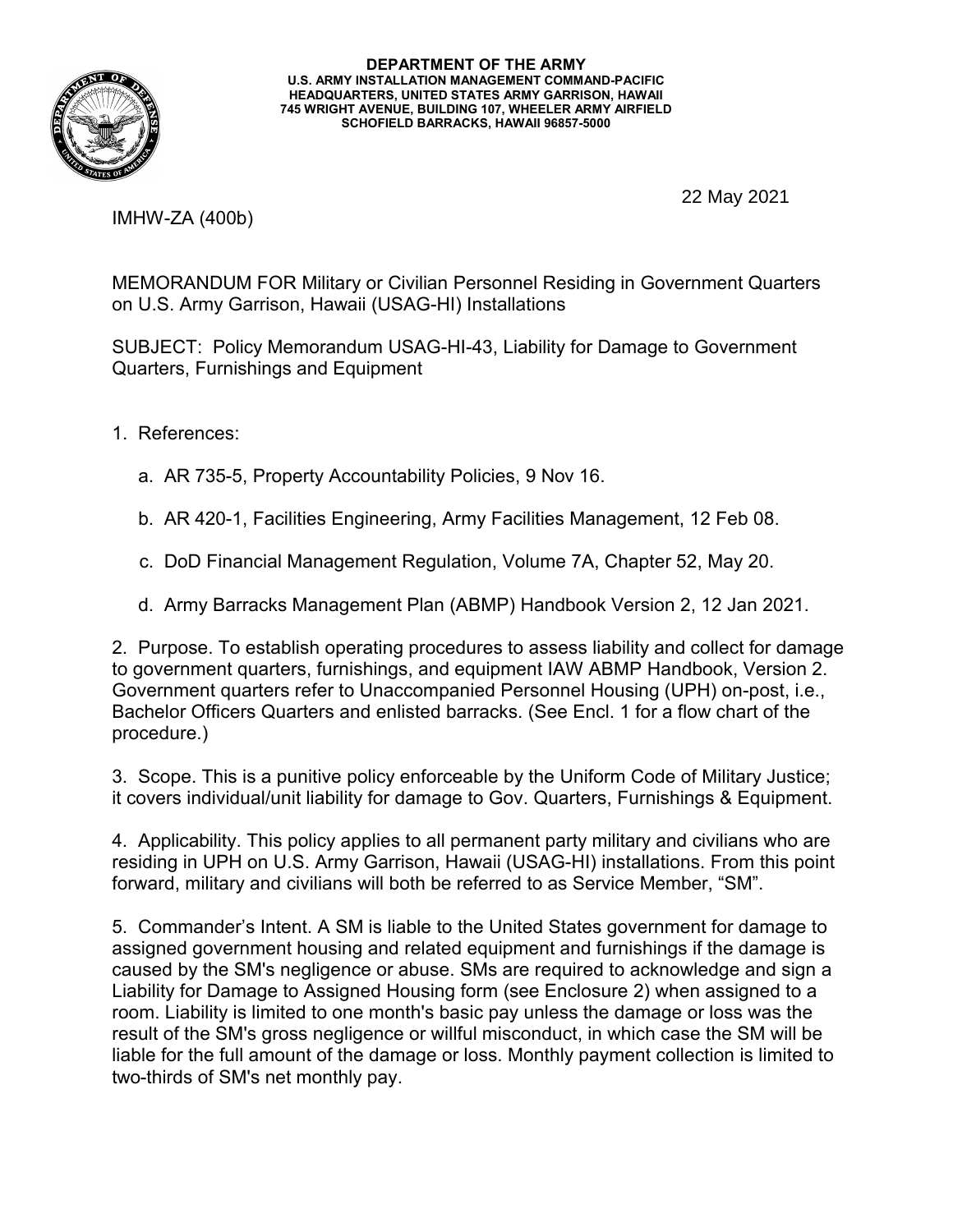

**DEPARTMENT OF THE ARMY U.S. ARMY INSTALLATION MANAGEMENT COMMAND-PACIFIC HEADQUARTERS, UNITED STATES ARMY GARRISON, HAWAII 745 WRIGHT AVENUE, BUILDING 107, WHEELER ARMY AIRFIELD SCHOFIELD BARRACKS, HAWAII 96857-5000**

22 May 2021

IMHW-ZA (400b)

MEMORANDUM FOR Military or Civilian Personnel Residing in Government Quarters on U.S. Army Garrison, Hawaii (USAG-HI) Installations

SUBJECT: Policy Memorandum USAG-HI-43, Liability for Damage to Government Quarters, Furnishings and Equipment

- 1. References:
	- a. AR 735-5, Property Accountability Policies, 9 Nov 16.
	- b. AR 420-1, Facilities Engineering, Army Facilities Management, 12 Feb 08.
	- c. DoD Financial Management Regulation, Volume 7A, Chapter 52, May 20.
	- d. Army Barracks Management Plan (ABMP) Handbook Version 2, 12 Jan 2021.

2. Purpose. To establish operating procedures to assess liability and collect for damage to government quarters, furnishings, and equipment IAW ABMP Handbook, Version 2. Government quarters refer to Unaccompanied Personnel Housing (UPH) on-post, i.e., Bachelor Officers Quarters and enlisted barracks. (See Encl. 1 for a flow chart of the procedure.)

3. Scope. This is a punitive policy enforceable by the Uniform Code of Military Justice; it covers individual/unit liability for damage to Gov. Quarters, Furnishings & Equipment.

4. Applicability. This policy applies to all permanent party military and civilians who are residing in UPH on U.S. Army Garrison, Hawaii (USAG-HI) installations. From this point forward, military and civilians will both be referred to as Service Member, "SM".

5. Commander's Intent. A SM is liable to the United States government for damage to assigned government housing and related equipment and furnishings if the damage is caused by the SM's negligence or abuse. SMs are required to acknowledge and sign a Liability for Damage to Assigned Housing form (see Enclosure 2) when assigned to a room. Liability is limited to one month's basic pay unless the damage or loss was the result of the SM's gross negligence or willful misconduct, in which case the SM will be liable for the full amount of the damage or loss. Monthly payment collection is limited to two-thirds of SM's net monthly pay.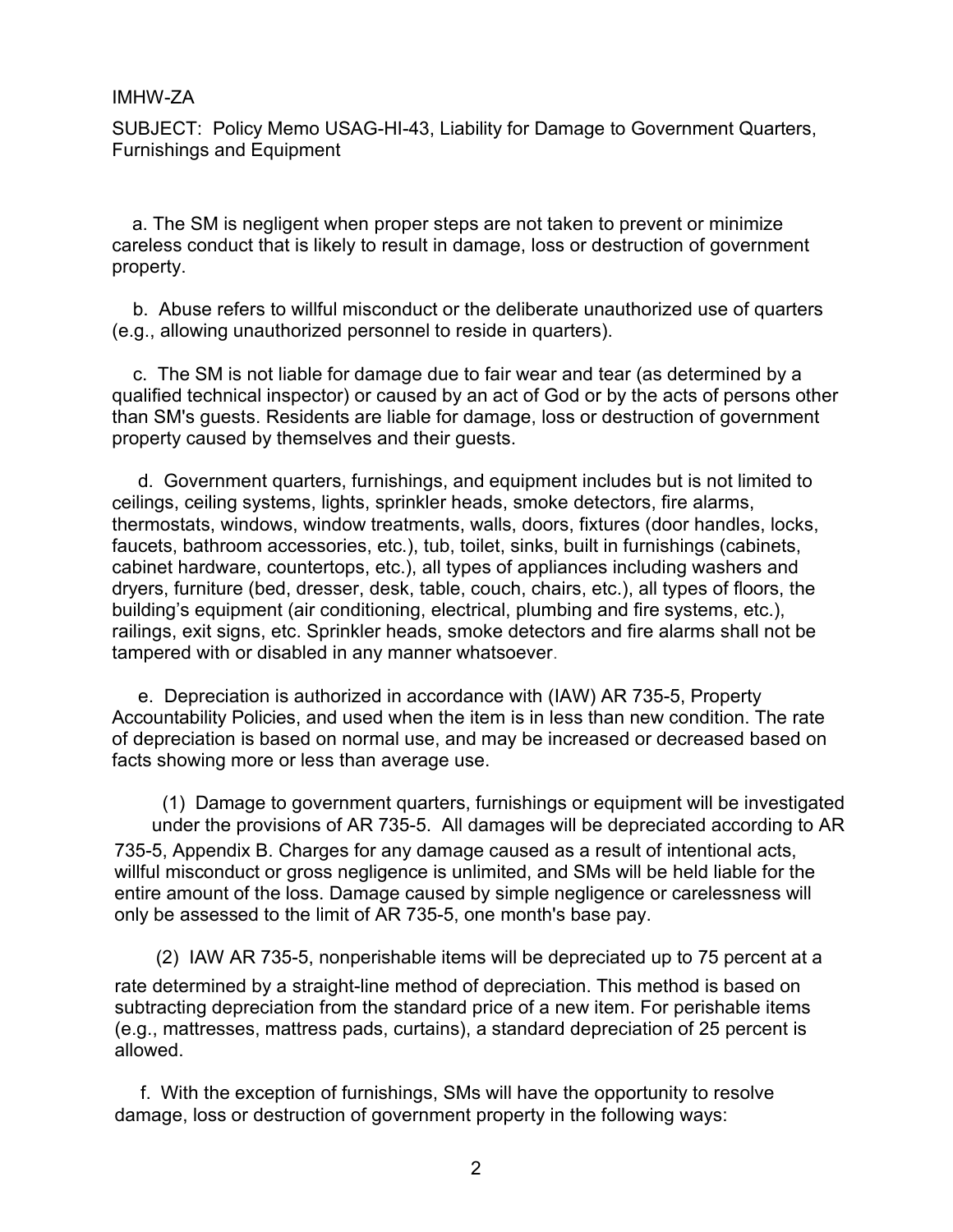SUBJECT: Policy Memo USAG-HI-43, Liability for Damage to Government Quarters, Furnishings and Equipment

 a. The SM is negligent when proper steps are not taken to prevent or minimize careless conduct that is likely to result in damage, loss or destruction of government property.

b. Abuse refers to willful misconduct or the deliberate unauthorized use of quarters (e.g., allowing unauthorized personnel to reside in quarters).

c. The SM is not liable for damage due to fair wear and tear (as determined by a qualified technical inspector) or caused by an act of God or by the acts of persons other than SM's guests. Residents are liable for damage, loss or destruction of government property caused by themselves and their guests.

d. Government quarters, furnishings, and equipment includes but is not limited to ceilings, ceiling systems, lights, sprinkler heads, smoke detectors, fire alarms, thermostats, windows, window treatments, walls, doors, fixtures (door handles, locks, faucets, bathroom accessories, etc.), tub, toilet, sinks, built in furnishings (cabinets, cabinet hardware, countertops, etc.), all types of appliances including washers and dryers, furniture (bed, dresser, desk, table, couch, chairs, etc.), all types of floors, the building's equipment (air conditioning, electrical, plumbing and fire systems, etc.), railings, exit signs, etc. Sprinkler heads, smoke detectors and fire alarms shall not be tampered with or disabled in any manner whatsoever.

e. Depreciation is authorized in accordance with (IAW) AR 735-5, Property Accountability Policies, and used when the item is in less than new condition. The rate of depreciation is based on normal use, and may be increased or decreased based on facts showing more or less than average use.

(1) Damage to government quarters, furnishings or equipment will be investigated under the provisions of AR 735-5. All damages will be depreciated according to AR 735-5, Appendix B. Charges for any damage caused as a result of intentional acts, willful misconduct or gross negligence is unlimited, and SMs will be held liable for the entire amount of the loss. Damage caused by simple negligence or carelessness will only be assessed to the limit of AR 735-5, one month's base pay.

(2) IAW AR 735-5, nonperishable items will be depreciated up to 75 percent at a rate determined by a straight-line method of depreciation. This method is based on subtracting depreciation from the standard price of a new item. For perishable items (e.g., mattresses, mattress pads, curtains), a standard depreciation of 25 percent is allowed.

f. With the exception of furnishings, SMs will have the opportunity to resolve damage, loss or destruction of government property in the following ways: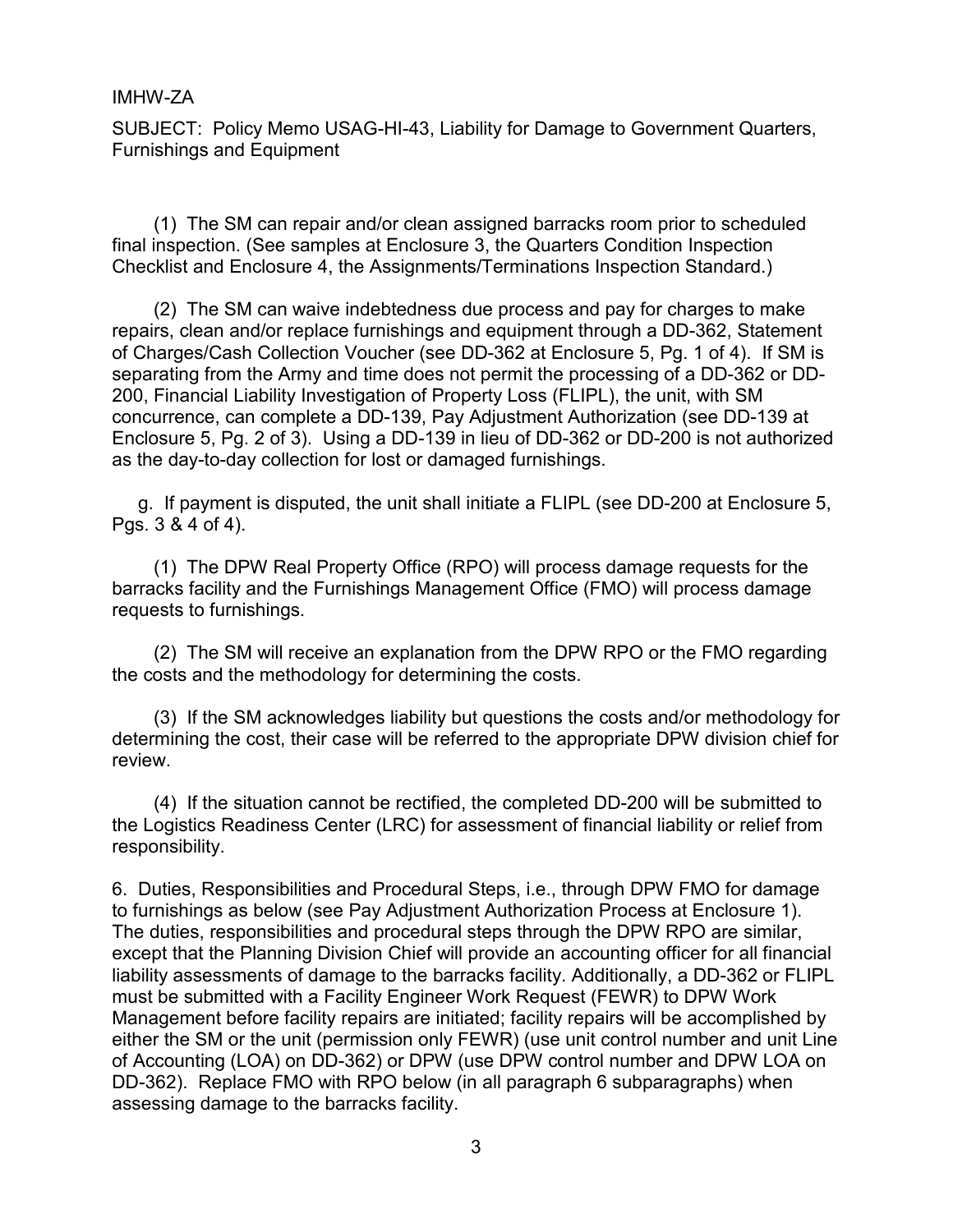SUBJECT: Policy Memo USAG-HI-43, Liability for Damage to Government Quarters, Furnishings and Equipment

(1) The SM can repair and/or clean assigned barracks room prior to scheduled final inspection. (See samples at Enclosure 3, the Quarters Condition Inspection Checklist and Enclosure 4, the Assignments/Terminations Inspection Standard.)

(2) The SM can waive indebtedness due process and pay for charges to make repairs, clean and/or replace furnishings and equipment through a DD-362, Statement of Charges/Cash Collection Voucher (see DD-362 at Enclosure 5, Pg. 1 of 4). If SM is separating from the Army and time does not permit the processing of a DD-362 or DD-200, Financial Liability Investigation of Property Loss (FLIPL), the unit, with SM concurrence, can complete a DD-139, Pay Adjustment Authorization (see DD-139 at Enclosure 5, Pg. 2 of 3). Using a DD-139 in lieu of DD-362 or DD-200 is not authorized as the day-to-day collection for lost or damaged furnishings.

g. If payment is disputed, the unit shall initiate a FLIPL (see DD-200 at Enclosure 5, Pgs. 3 & 4 of 4).

(1) The DPW Real Property Office (RPO) will process damage requests for the barracks facility and the Furnishings Management Office (FMO) will process damage requests to furnishings.

(2) The SM will receive an explanation from the DPW RPO or the FMO regarding the costs and the methodology for determining the costs.

(3) If the SM acknowledges liability but questions the costs and/or methodology for determining the cost, their case will be referred to the appropriate DPW division chief for review.

(4) If the situation cannot be rectified, the completed DD-200 will be submitted to the Logistics Readiness Center (LRC) for assessment of financial liability or relief from responsibility.

6. Duties, Responsibilities and Procedural Steps, i.e., through DPW FMO for damage to furnishings as below (see Pay Adjustment Authorization Process at Enclosure 1). The duties, responsibilities and procedural steps through the DPW RPO are similar, except that the Planning Division Chief will provide an accounting officer for all financial liability assessments of damage to the barracks facility. Additionally, a DD-362 or FLIPL must be submitted with a Facility Engineer Work Request (FEWR) to DPW Work Management before facility repairs are initiated; facility repairs will be accomplished by either the SM or the unit (permission only FEWR) (use unit control number and unit Line of Accounting (LOA) on DD-362) or DPW (use DPW control number and DPW LOA on DD-362). Replace FMO with RPO below (in all paragraph 6 subparagraphs) when assessing damage to the barracks facility.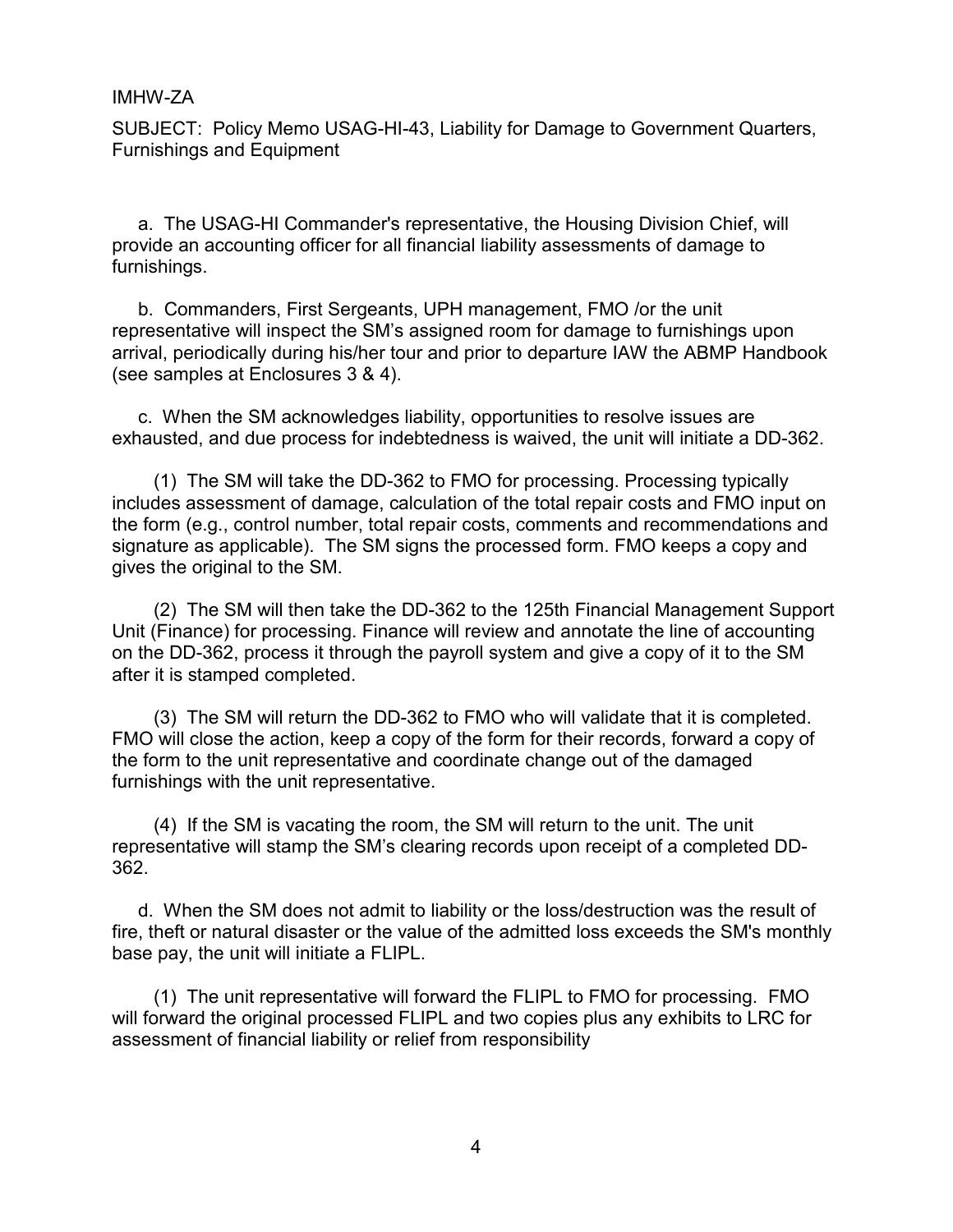SUBJECT: Policy Memo USAG-HI-43, Liability for Damage to Government Quarters, Furnishings and Equipment

a. The USAG-HI Commander's representative, the Housing Division Chief, will provide an accounting officer for all financial liability assessments of damage to furnishings.

b. Commanders, First Sergeants, UPH management, FMO /or the unit representative will inspect the SM's assigned room for damage to furnishings upon arrival, periodically during his/her tour and prior to departure IAW the ABMP Handbook (see samples at Enclosures 3 & 4).

c. When the SM acknowledges liability, opportunities to resolve issues are exhausted, and due process for indebtedness is waived, the unit will initiate a DD-362.

(1) The SM will take the DD-362 to FMO for processing. Processing typically includes assessment of damage, calculation of the total repair costs and FMO input on the form (e.g., control number, total repair costs, comments and recommendations and signature as applicable). The SM signs the processed form. FMO keeps a copy and gives the original to the SM.

(2) The SM will then take the DD-362 to the 125th Financial Management Support Unit (Finance) for processing. Finance will review and annotate the line of accounting on the DD-362, process it through the payroll system and give a copy of it to the SM after it is stamped completed.

(3) The SM will return the DD-362 to FMO who will validate that it is completed. FMO will close the action, keep a copy of the form for their records, forward a copy of the form to the unit representative and coordinate change out of the damaged furnishings with the unit representative.

(4) If the SM is vacating the room, the SM will return to the unit. The unit representative will stamp the SM's clearing records upon receipt of a completed DD-362.

d. When the SM does not admit to liability or the loss/destruction was the result of fire, theft or natural disaster or the value of the admitted loss exceeds the SM's monthly base pay, the unit will initiate a FLIPL.

(1) The unit representative will forward the FLIPL to FMO for processing. FMO will forward the original processed FLIPL and two copies plus any exhibits to LRC for assessment of financial liability or relief from responsibility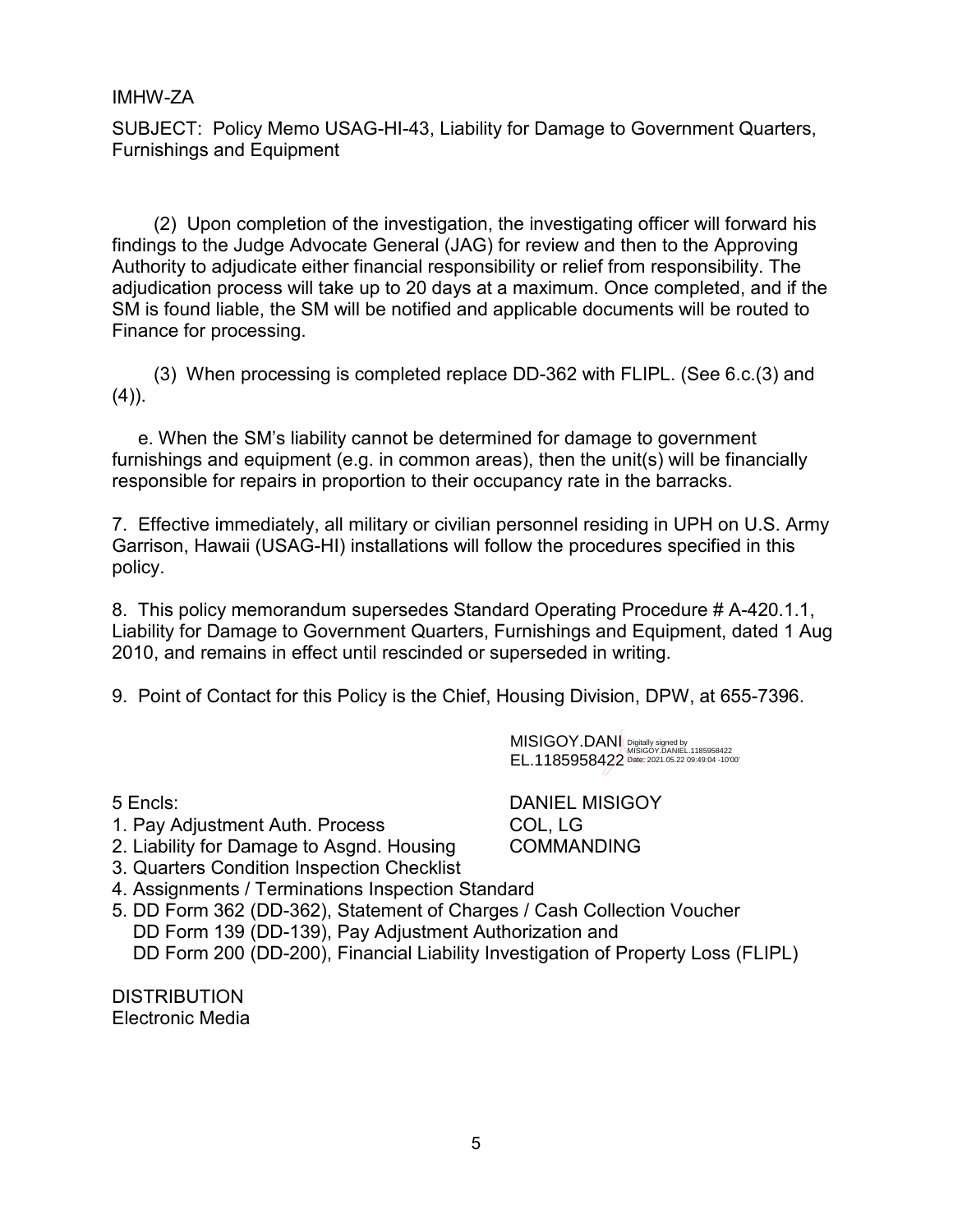SUBJECT: Policy Memo USAG-HI-43, Liability for Damage to Government Quarters, Furnishings and Equipment

(2) Upon completion of the investigation, the investigating officer will forward his findings to the Judge Advocate General (JAG) for review and then to the Approving Authority to adjudicate either financial responsibility or relief from responsibility. The adjudication process will take up to 20 days at a maximum. Once completed, and if the SM is found liable, the SM will be notified and applicable documents will be routed to Finance for processing.

(3) When processing is completed replace DD-362 with FLIPL. (See 6.c.(3) and  $(4)$ ).

e. When the SM's liability cannot be determined for damage to government furnishings and equipment (e.g. in common areas), then the unit(s) will be financially responsible for repairs in proportion to their occupancy rate in the barracks.

7. Effective immediately, all military or civilian personnel residing in UPH on U.S. Army Garrison, Hawaii (USAG-HI) installations will follow the procedures specified in this policy.

8. This policy memorandum supersedes Standard Operating Procedure # A-420.1.1, Liability for Damage to Government Quarters, Furnishings and Equipment, dated 1 Aug 2010, and remains in effect until rescinded or superseded in writing.

9. Point of Contact for this Policy is the Chief, Housing Division, DPW, at 655-7396.

MISIGOY.DANI EL.1185958422 Digitally signed by MISIGOY.DANIEL.1185958422 Date: 2021.05.22 09:49:04 -10'00'

- 1. Pay Adjustment Auth. Process COL, LG
- 2. Liability for Damage to Asgnd. Housing COMMANDING
- 3. Quarters Condition Inspection Checklist
- 4. Assignments / Terminations Inspection Standard
- 5. DD Form 362 (DD-362), Statement of Charges / Cash Collection Voucher DD Form 139 (DD-139), Pay Adjustment Authorization and DD Form 200 (DD-200), Financial Liability Investigation of Property Loss (FLIPL)

**DISTRIBUTION** Electronic Media

5 Encls: DANIEL MISIGOY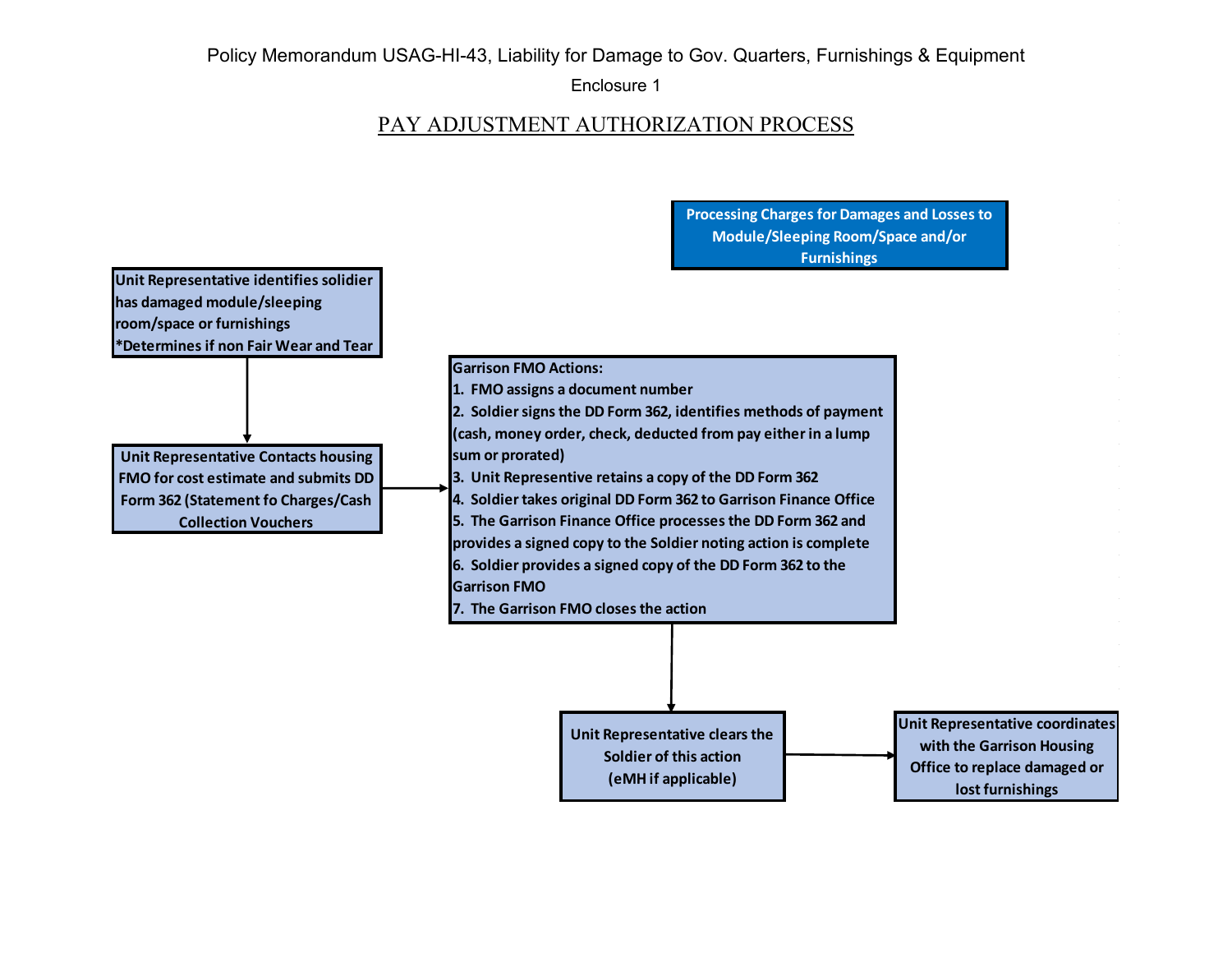#### Enclosure 1

## PAY ADJUSTMENT AUTHORIZATION PROCESS

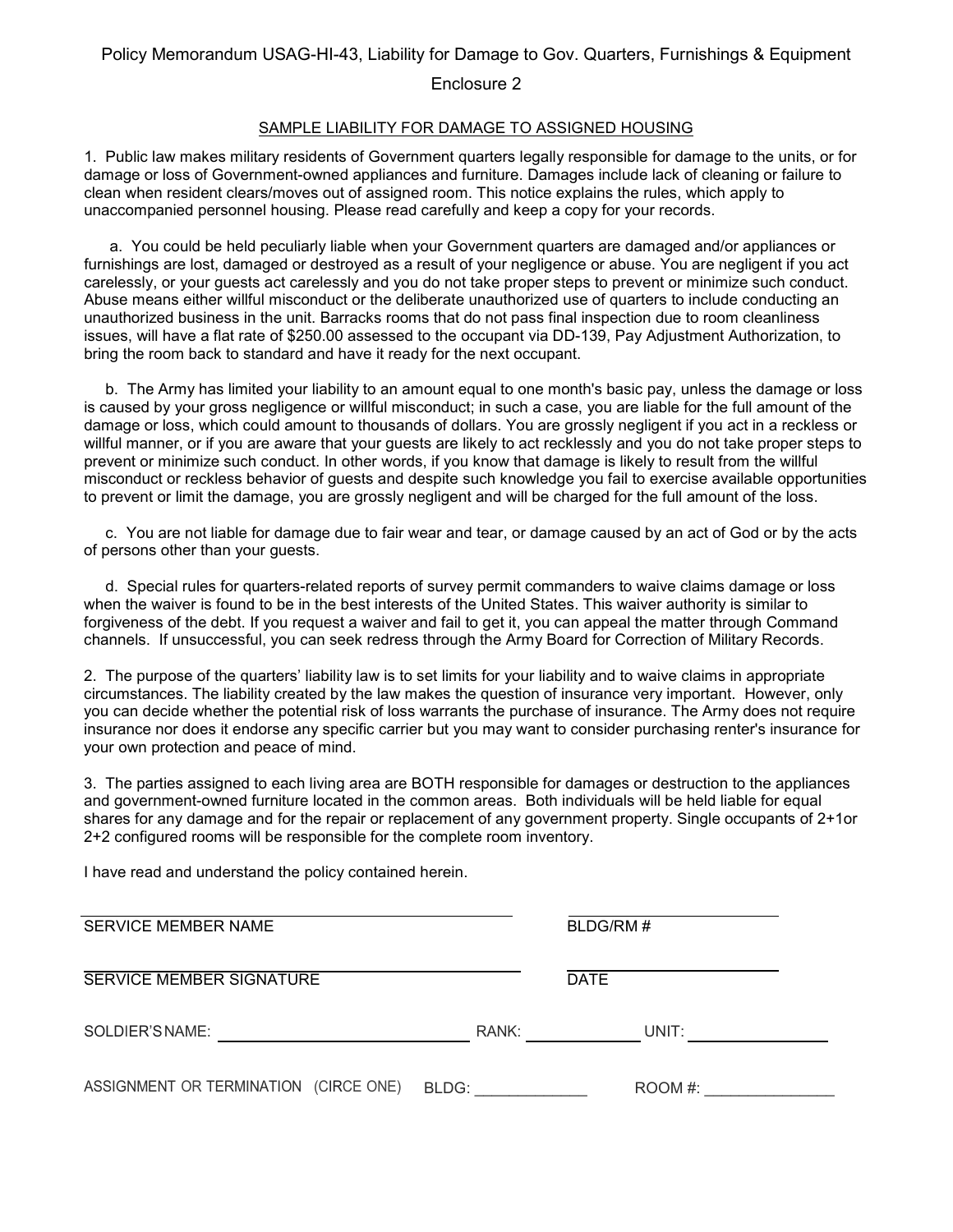#### Enclosure 2

#### SAMPLE LIABILITY FOR DAMAGE TO ASSIGNED HOUSING

1. Public law makes military residents of Government quarters legally responsible for damage to the units, or for damage or loss of Government-owned appliances and furniture. Damages include lack of cleaning or failure to clean when resident clears/moves out of assigned room. This notice explains the rules, which apply to unaccompanied personnel housing. Please read carefully and keep a copy for your records.

 a. You could be held peculiarly liable when your Government quarters are damaged and/or appliances or furnishings are lost, damaged or destroyed as a result of your negligence or abuse. You are negligent if you act carelessly, or your guests act carelessly and you do not take proper steps to prevent or minimize such conduct. Abuse means either willful misconduct or the deliberate unauthorized use of quarters to include conducting an unauthorized business in the unit. Barracks rooms that do not pass final inspection due to room cleanliness issues, will have a flat rate of \$250.00 assessed to the occupant via DD-139, Pay Adjustment Authorization, to bring the room back to standard and have it ready for the next occupant.

 b. The Army has limited your liability to an amount equal to one month's basic pay, unless the damage or loss is caused by your gross negligence or willful misconduct; in such a case, you are liable for the full amount of the damage or loss, which could amount to thousands of dollars. You are grossly negligent if you act in a reckless or willful manner, or if you are aware that your guests are likely to act recklessly and you do not take proper steps to prevent or minimize such conduct. In other words, if you know that damage is likely to result from the willful misconduct or reckless behavior of guests and despite such knowledge you fail to exercise available opportunities to prevent or limit the damage, you are grossly negligent and will be charged for the full amount of the loss.

 c. You are not liable for damage due to fair wear and tear, or damage caused by an act of God or by the acts of persons other than your guests.

 d. Special rules for quarters-related reports of survey permit commanders to waive claims damage or loss when the waiver is found to be in the best interests of the United States. This waiver authority is similar to forgiveness of the debt. If you request a waiver and fail to get it, you can appeal the matter through Command channels. If unsuccessful, you can seek redress through the Army Board for Correction of Military Records.

2. The purpose of the quarters' liability law is to set limits for your liability and to waive claims in appropriate circumstances. The liability created by the law makes the question of insurance very important. However, only you can decide whether the potential risk of loss warrants the purchase of insurance. The Army does not require insurance nor does it endorse any specific carrier but you may want to consider purchasing renter's insurance for your own protection and peace of mind.

3. The parties assigned to each living area are BOTH responsible for damages or destruction to the appliances and government-owned furniture located in the common areas. Both individuals will be held liable for equal shares for any damage and for the repair or replacement of any government property. Single occupants of 2+1or 2+2 configured rooms will be responsible for the complete room inventory.

I have read and understand the policy contained herein.

| <b>SERVICE MEMBER NAME</b>            | BLDG/RM# |             |  |
|---------------------------------------|----------|-------------|--|
| SERVICE MEMBER SIGNATURE              |          | <b>DATE</b> |  |
| SOLDIER'S NAME:                       | RANK:    | UNIT:       |  |
| ASSIGNMENT OR TERMINATION (CIRCE ONE) | BLDG:    | ROOM #:     |  |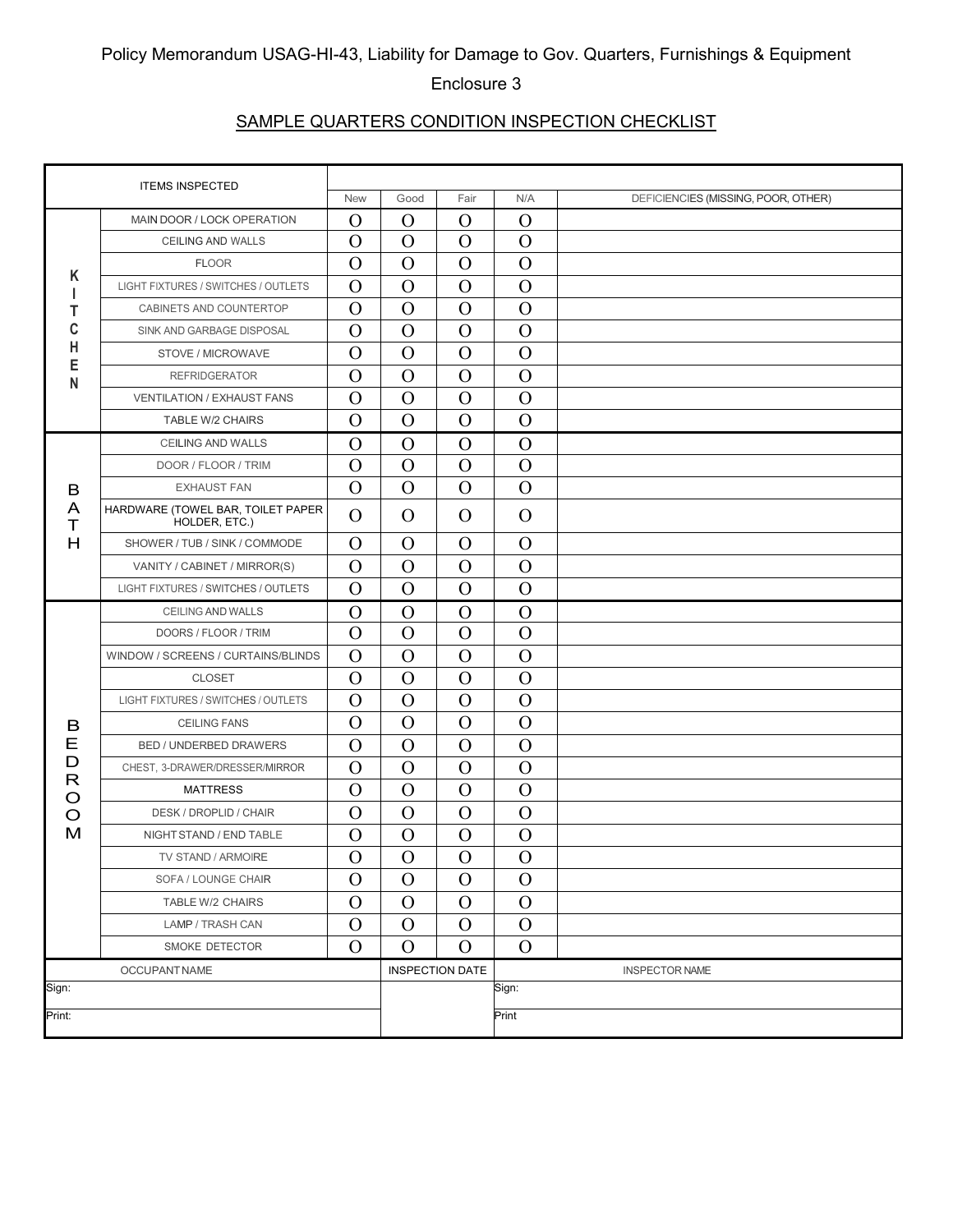#### Enclosure 3

## SAMPLE QUARTERS CONDITION INSPECTION CHECKLIST

|        | <b>ITEMS INSPECTED</b>                             |               |              |                        |                       |                                     |  |  |
|--------|----------------------------------------------------|---------------|--------------|------------------------|-----------------------|-------------------------------------|--|--|
|        |                                                    | <b>New</b>    | Good         | Fair                   | N/A                   | DEFICIENCIES (MISSING, POOR, OTHER) |  |  |
|        | MAIN DOOR / LOCK OPERATION                         | $\Omega$      | $\Omega$     | $\Omega$               | $\Omega$              |                                     |  |  |
|        | CEILING AND WALLS                                  | $\Omega$      | $\Omega$     | $\mathcal{O}$          | $\overline{O}$        |                                     |  |  |
| Κ      | <b>FLOOR</b>                                       | $\Omega$      | $\Omega$     | $\Omega$               | $\mathbf O$           |                                     |  |  |
|        | LIGHT FIXTURES / SWITCHES / OUTLETS                | $\Omega$      | $\Omega$     | $\Omega$               | $\Omega$              |                                     |  |  |
| Т      | CABINETS AND COUNTERTOP                            | $\Omega$      | $\Omega$     | $\Omega$               | $\Omega$              |                                     |  |  |
| C      | SINK AND GARBAGE DISPOSAL                          | $\Omega$      | $\Omega$     | $\Omega$               | $\Omega$              |                                     |  |  |
| н<br>Е | STOVE / MICROWAVE                                  | $\Omega$      | $\Omega$     | $\Omega$               | $\overline{O}$        |                                     |  |  |
| N      | <b>REFRIDGERATOR</b>                               | $\Omega$      | $\Omega$     | $\Omega$               | $\Omega$              |                                     |  |  |
|        | <b>VENTILATION / EXHAUST FANS</b>                  | $\Omega$      | $\Omega$     | $\Omega$               | $\Omega$              |                                     |  |  |
|        | TABLE W/2 CHAIRS                                   | $\Omega$      | $\Omega$     | $\Omega$               | $\Omega$              |                                     |  |  |
|        | CEILING AND WALLS                                  | $\Omega$      | $\Omega$     | $\Omega$               | $\Omega$              |                                     |  |  |
|        | DOOR / FLOOR / TRIM                                | $\Omega$      | $\Omega$     | $\Omega$               | $\overline{O}$        |                                     |  |  |
| B      | <b>EXHAUST FAN</b>                                 | $\Omega$      | $\Omega$     | $\Omega$               | $\mathbf O$           |                                     |  |  |
| A<br>T | HARDWARE (TOWEL BAR, TOILET PAPER<br>HOLDER, ETC.) | $\Omega$      | $\Omega$     | $\Omega$               | $\Omega$              |                                     |  |  |
| H      | SHOWER / TUB / SINK / COMMODE                      | $\Omega$      | $\Omega$     | $\Omega$               | $\Omega$              |                                     |  |  |
|        | VANITY / CABINET / MIRROR(S)                       | $\Omega$      | $\Omega$     | $\Omega$               | $\Omega$              |                                     |  |  |
|        | LIGHT FIXTURES / SWITCHES / OUTLETS                | $\Omega$      | $\Omega$     | $\Omega$               | $\Omega$              |                                     |  |  |
|        | CEILING AND WALLS                                  | $\Omega$      | $\Omega$     | $\Omega$               | $\Omega$              |                                     |  |  |
|        | DOORS / FLOOR / TRIM                               | $\Omega$      | $\Omega$     | $\Omega$               | $\overline{O}$        |                                     |  |  |
|        | WINDOW / SCREENS / CURTAINS/BLINDS                 | $\Omega$      | $\mathbf O$  | $\Omega$               | $\mathcal{O}$         |                                     |  |  |
|        | <b>CLOSET</b>                                      | $\Omega$      | $\Omega$     | $\Omega$               | $\Omega$              |                                     |  |  |
|        | LIGHT FIXTURES / SWITCHES / OUTLETS                | $\Omega$      | $\Omega$     | $\Omega$               | $\Omega$              |                                     |  |  |
| В      | <b>CEILING FANS</b>                                | $\Omega$      | $\Omega$     | $\Omega$               | $\Omega$              |                                     |  |  |
| Ε      | <b>BED / UNDERBED DRAWERS</b>                      | $\Omega$      | $\Omega$     | $\Omega$               | $\mathcal{O}$         |                                     |  |  |
| D      | CHEST, 3-DRAWER/DRESSER/MIRROR                     | $\Omega$      | $\Omega$     | $\Omega$               | $\mathcal{O}$         |                                     |  |  |
| R<br>O | <b>MATTRESS</b>                                    | $\Omega$      | $\Omega$     | $\Omega$               | $\Omega$              |                                     |  |  |
| O      | DESK / DROPLID / CHAIR                             | $\Omega$      | $\Omega$     | $\Omega$               | $\Omega$              |                                     |  |  |
| M      | NIGHT STAND / END TABLE                            | $\Omega$      | $\Omega$     | $\Omega$               | $\Omega$              |                                     |  |  |
|        | TV STAND / ARMOIRE                                 | $\mathcal{O}$ | $\mathbf O$  | ${\bf O}$              | $\mathbf O$           |                                     |  |  |
|        | SOFA / LOUNGE CHAIR                                | $\Omega$      | $\Omega$     | $\Omega$               | $\Omega$              |                                     |  |  |
|        | TABLE W/2 CHAIRS                                   | $\Omega$      | $\Omega$     | $\Omega$               | $\Omega$              |                                     |  |  |
|        | LAMP / TRASH CAN                                   | $\Omega$      | $\Omega$     | $\Omega$               | $\mathcal{O}$         |                                     |  |  |
|        | SMOKE DETECTOR                                     | $\Omega$      | $\mathbf{O}$ | $\Omega$               | $\Omega$              |                                     |  |  |
|        | OCCUPANT NAME                                      |               |              | <b>INSPECTION DATE</b> | <b>INSPECTOR NAME</b> |                                     |  |  |
| Sign:  |                                                    |               |              |                        | Sign:                 |                                     |  |  |
| Print: |                                                    |               |              |                        | Print                 |                                     |  |  |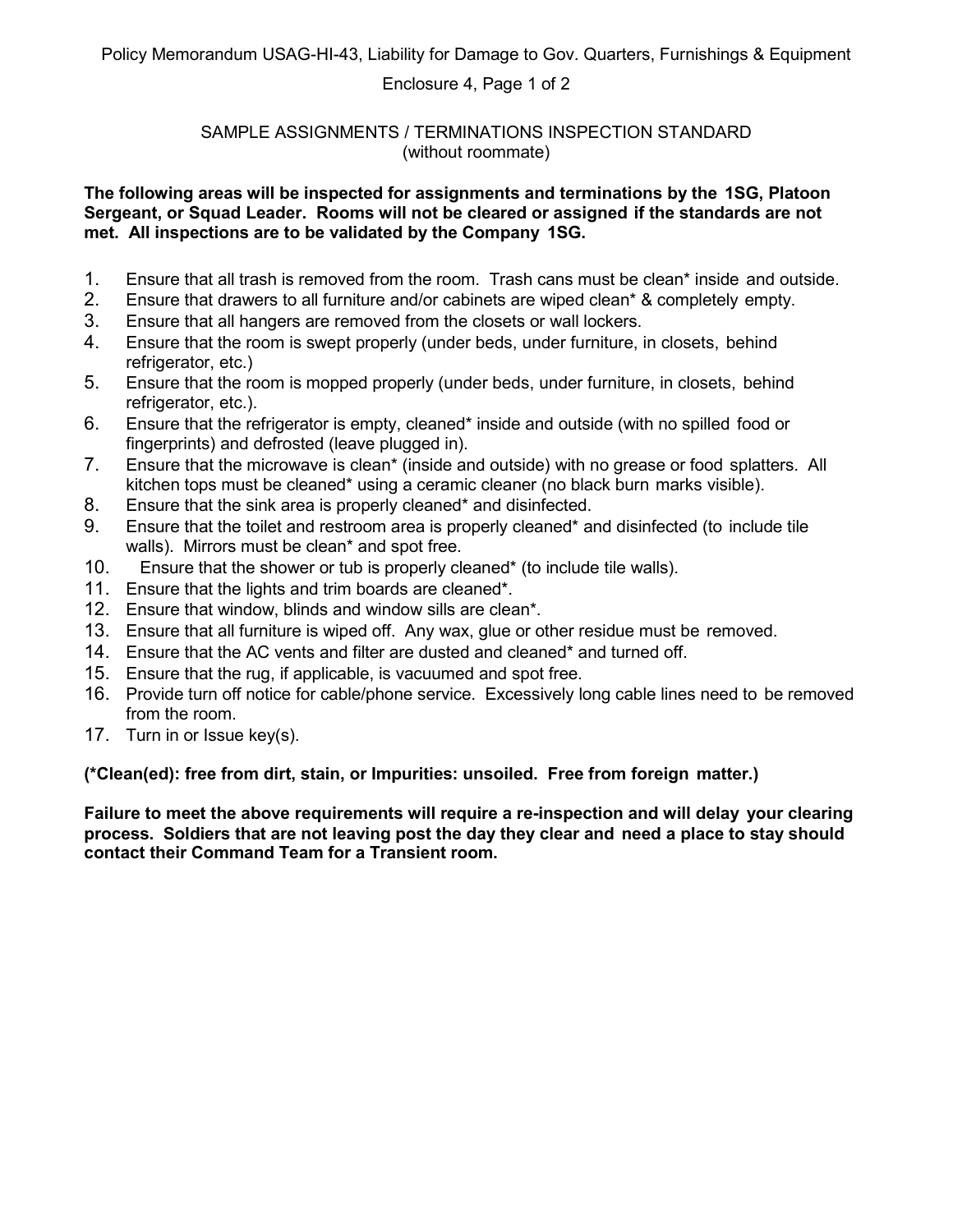#### Enclosure 4, Page 1 of 2

#### SAMPLE ASSIGNMENTS / TERMINATIONS INSPECTION STANDARD (without roommate)

#### **The following areas will be inspected for assignments and terminations by the 1SG, Platoon Sergeant, or Squad Leader. Rooms will not be cleared or assigned if the standards are not met. All inspections are to be validated by the Company 1SG.**

- 1. Ensure that all trash is removed from the room. Trash cans must be clean\* inside and outside.
- 2. Ensure that drawers to all furniture and/or cabinets are wiped clean\* & completely empty.
- 3. Ensure that all hangers are removed from the closets or wall lockers.
- 4. Ensure that the room is swept properly (under beds, under furniture, in closets, behind refrigerator, etc.)
- 5. Ensure that the room is mopped properly (under beds, under furniture, in closets, behind refrigerator, etc.).
- 6. Ensure that the refrigerator is empty, cleaned\* inside and outside (with no spilled food or fingerprints) and defrosted (leave plugged in).
- 7. Ensure that the microwave is clean\* (inside and outside) with no grease or food splatters. All kitchen tops must be cleaned\* using a ceramic cleaner (no black burn marks visible).
- 8. Ensure that the sink area is properly cleaned\* and disinfected.
- 9. Ensure that the toilet and restroom area is properly cleaned\* and disinfected (to include tile walls). Mirrors must be clean\* and spot free.
- 10. Ensure that the shower or tub is properly cleaned\* (to include tile walls).
- 11. Ensure that the lights and trim boards are cleaned\*.
- 12. Ensure that window, blinds and window sills are clean\*.
- 13. Ensure that all furniture is wiped off. Any wax, glue or other residue must be removed.
- 14. Ensure that the AC vents and filter are dusted and cleaned\* and turned off.
- 15. Ensure that the rug, if applicable, is vacuumed and spot free.
- 16. Provide turn off notice for cable/phone service. Excessively long cable lines need to be removed from the room.
- 17. Turn in or Issue key(s).

**(\*Clean(ed): free from dirt, stain, or Impurities: unsoiled. Free from foreign matter.)**

**Failure to meet the above requirements will require a re-inspection and will delay your clearing process. Soldiers that are not leaving post the day they clear and need a place to stay should contact their Command Team for a Transient room.**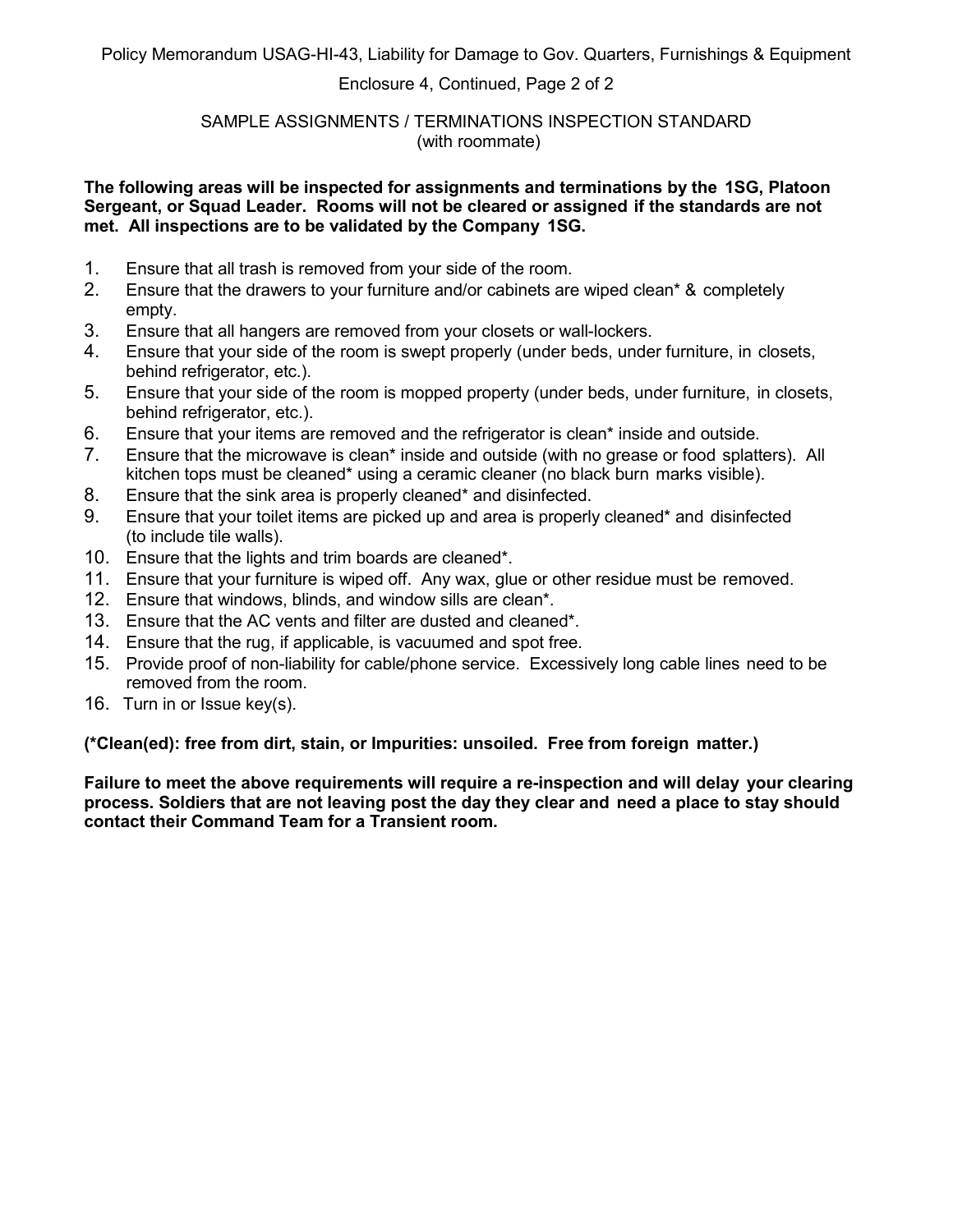#### Enclosure 4, Continued, Page 2 of 2

#### SAMPLE ASSIGNMENTS / TERMINATIONS INSPECTION STANDARD (with roommate)

#### **The following areas will be inspected for assignments and terminations by the 1SG, Platoon Sergeant, or Squad Leader. Rooms will not be cleared or assigned if the standards are not met. All inspections are to be validated by the Company 1SG.**

- 1. Ensure that all trash is removed from your side of the room.
- 2. Ensure that the drawers to your furniture and/or cabinets are wiped clean\* & completely empty.
- 3. Ensure that all hangers are removed from your closets or wall-lockers.
- 4. Ensure that your side of the room is swept properly (under beds, under furniture, in closets, behind refrigerator, etc.).
- 5. Ensure that your side of the room is mopped property (under beds, under furniture, in closets, behind refrigerator, etc.).
- 6. Ensure that your items are removed and the refrigerator is clean\* inside and outside.
- 7. Ensure that the microwave is clean\* inside and outside (with no grease or food splatters). All kitchen tops must be cleaned\* using a ceramic cleaner (no black burn marks visible).
- 8. Ensure that the sink area is properly cleaned\* and disinfected.
- 9. Ensure that your toilet items are picked up and area is properly cleaned\* and disinfected (to include tile walls).
- 10. Ensure that the lights and trim boards are cleaned\*.
- 11. Ensure that your furniture is wiped off. Any wax, glue or other residue must be removed.
- 12. Ensure that windows, blinds, and window sills are clean\*.
- 13. Ensure that the AC vents and filter are dusted and cleaned\*.
- 14. Ensure that the rug, if applicable, is vacuumed and spot free.
- 15. Provide proof of non-liability for cable/phone service. Excessively long cable lines need to be removed from the room.
- 16. Turn in or Issue key(s).

#### **(\*Clean(ed): free from dirt, stain, or Impurities: unsoiled. Free from foreign matter.)**

**Failure to meet the above requirements will require a re-inspection and will delay your clearing process. Soldiers that are not leaving post the day they clear and need a place to stay should contact their Command Team for a Transient room.**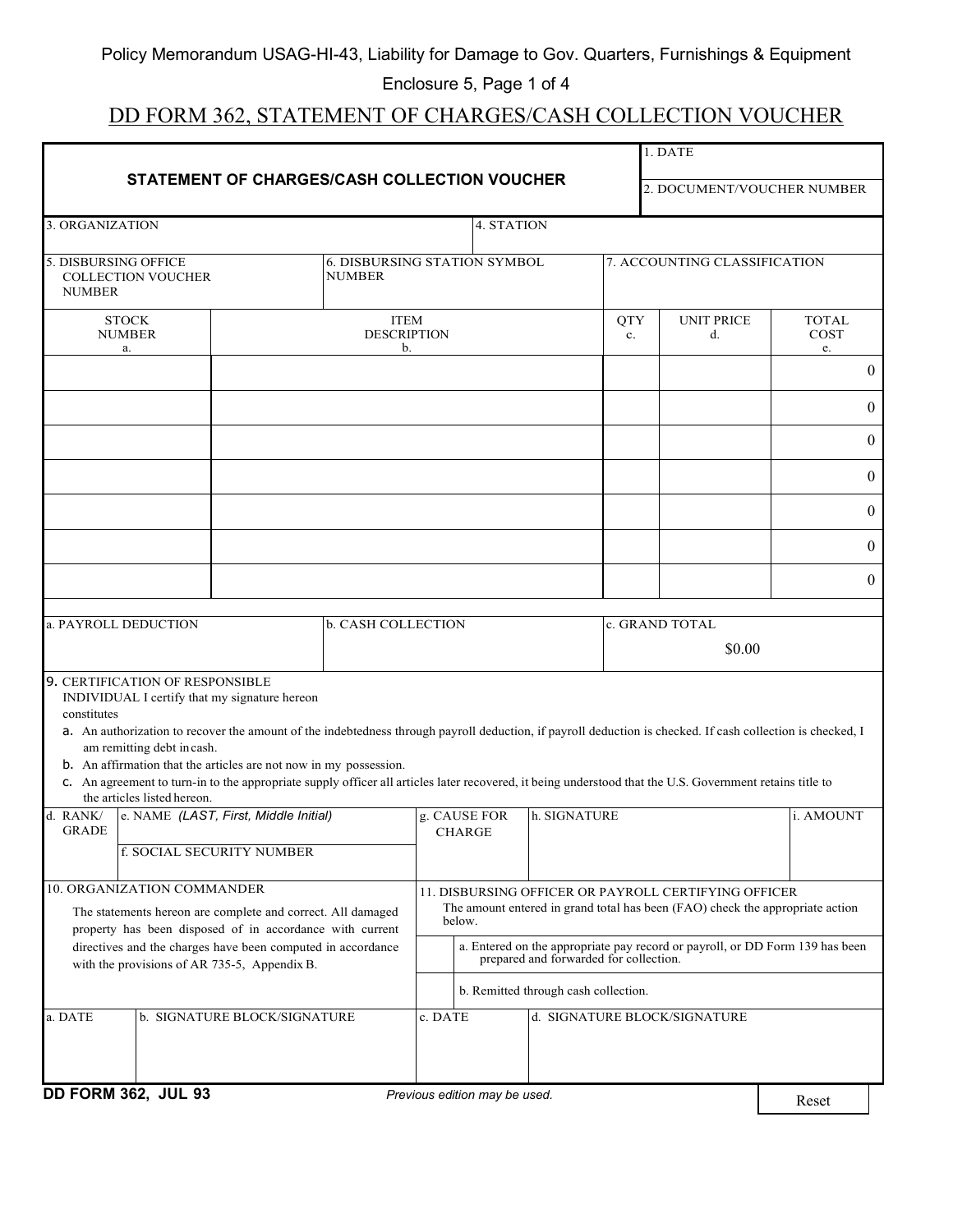### Enclosure 5, Page 1 of 4

# DD FORM 362, STATEMENT OF CHARGES/CASH COLLECTION VOUCHER

|                                                                                                             |                                                                                                                                                                                                                           |                                                                                                                     |                                                      |         |                               | 1. DATE                              |                  |                                                                                                                                                                                                                                                                                                                        |                            |
|-------------------------------------------------------------------------------------------------------------|---------------------------------------------------------------------------------------------------------------------------------------------------------------------------------------------------------------------------|---------------------------------------------------------------------------------------------------------------------|------------------------------------------------------|---------|-------------------------------|--------------------------------------|------------------|------------------------------------------------------------------------------------------------------------------------------------------------------------------------------------------------------------------------------------------------------------------------------------------------------------------------|----------------------------|
| STATEMENT OF CHARGES/CASH COLLECTION VOUCHER                                                                |                                                                                                                                                                                                                           |                                                                                                                     |                                                      |         |                               | 2. DOCUMENT/VOUCHER NUMBER           |                  |                                                                                                                                                                                                                                                                                                                        |                            |
| 3. ORGANIZATION                                                                                             |                                                                                                                                                                                                                           |                                                                                                                     |                                                      |         | 4. STATION                    |                                      |                  |                                                                                                                                                                                                                                                                                                                        |                            |
| <b>NUMBER</b>                                                                                               | 5. DISBURSING OFFICE<br><b>COLLECTION VOUCHER</b>                                                                                                                                                                         |                                                                                                                     | <b>6. DISBURSING STATION SYMBOL</b><br><b>NUMBER</b> |         |                               | 7. ACCOUNTING CLASSIFICATION         |                  |                                                                                                                                                                                                                                                                                                                        |                            |
|                                                                                                             | <b>STOCK</b><br><b>NUMBER</b><br>a.                                                                                                                                                                                       |                                                                                                                     | <b>ITEM</b><br><b>DESCRIPTION</b><br>b.              |         |                               |                                      | <b>QTY</b><br>c. | <b>UNIT PRICE</b><br>$d_{\cdot}$                                                                                                                                                                                                                                                                                       | <b>TOTAL</b><br>COST<br>e. |
|                                                                                                             |                                                                                                                                                                                                                           |                                                                                                                     |                                                      |         |                               |                                      |                  |                                                                                                                                                                                                                                                                                                                        | $\boldsymbol{0}$           |
|                                                                                                             |                                                                                                                                                                                                                           |                                                                                                                     |                                                      |         |                               |                                      |                  |                                                                                                                                                                                                                                                                                                                        | $\boldsymbol{0}$           |
|                                                                                                             |                                                                                                                                                                                                                           |                                                                                                                     |                                                      |         |                               |                                      |                  |                                                                                                                                                                                                                                                                                                                        | $\boldsymbol{0}$           |
|                                                                                                             |                                                                                                                                                                                                                           |                                                                                                                     |                                                      |         |                               |                                      |                  |                                                                                                                                                                                                                                                                                                                        | $\overline{0}$             |
|                                                                                                             |                                                                                                                                                                                                                           |                                                                                                                     |                                                      |         |                               |                                      |                  |                                                                                                                                                                                                                                                                                                                        | $\theta$                   |
|                                                                                                             |                                                                                                                                                                                                                           |                                                                                                                     |                                                      |         |                               |                                      |                  |                                                                                                                                                                                                                                                                                                                        | $\overline{0}$             |
|                                                                                                             |                                                                                                                                                                                                                           |                                                                                                                     |                                                      |         |                               |                                      |                  |                                                                                                                                                                                                                                                                                                                        | $\overline{0}$             |
|                                                                                                             | a. PAYROLL DEDUCTION                                                                                                                                                                                                      |                                                                                                                     | b. CASH COLLECTION                                   |         |                               |                                      |                  | c. GRAND TOTAL                                                                                                                                                                                                                                                                                                         |                            |
|                                                                                                             |                                                                                                                                                                                                                           |                                                                                                                     |                                                      |         |                               |                                      |                  | \$0.00                                                                                                                                                                                                                                                                                                                 |                            |
| constitutes                                                                                                 | <b>9. CERTIFICATION OF RESPONSIBLE</b><br>INDIVIDUAL I certify that my signature hereon<br>am remitting debt in cash.<br>b. An affirmation that the articles are not now in my possession.<br>the articles listed hereon. |                                                                                                                     |                                                      |         |                               |                                      |                  | a. An authorization to recover the amount of the indebtedness through payroll deduction, if payroll deduction is checked. If cash collection is checked, I<br>c. An agreement to turn-in to the appropriate supply officer all articles later recovered, it being understood that the U.S. Government retains title to |                            |
| d. RANK/<br><b>GRADE</b>                                                                                    |                                                                                                                                                                                                                           | e. NAME (LAST, First, Middle Initial)                                                                               |                                                      |         | g. CAUSE FOR<br><b>CHARGE</b> | h. SIGNATURE                         |                  |                                                                                                                                                                                                                                                                                                                        | i. AMOUNT                  |
|                                                                                                             | f. SOCIAL SECURITY NUMBER                                                                                                                                                                                                 |                                                                                                                     |                                                      |         |                               |                                      |                  |                                                                                                                                                                                                                                                                                                                        |                            |
|                                                                                                             | 10. ORGANIZATION COMMANDER<br>The statements hereon are complete and correct. All damaged<br>property has been disposed of in accordance with current                                                                     |                                                                                                                     |                                                      |         | below.                        |                                      |                  | 11. DISBURSING OFFICER OR PAYROLL CERTIFYING OFFICER<br>The amount entered in grand total has been (FAO) check the appropriate action                                                                                                                                                                                  |                            |
| directives and the charges have been computed in accordance<br>with the provisions of AR 735-5, Appendix B. |                                                                                                                                                                                                                           | a. Entered on the appropriate pay record or payroll, or DD Form 139 has been prepared and forwarded for collection. |                                                      |         |                               |                                      |                  |                                                                                                                                                                                                                                                                                                                        |                            |
|                                                                                                             |                                                                                                                                                                                                                           |                                                                                                                     |                                                      |         |                               | b. Remitted through cash collection. |                  |                                                                                                                                                                                                                                                                                                                        |                            |
| a. DATE                                                                                                     |                                                                                                                                                                                                                           | b. SIGNATURE BLOCK/SIGNATURE                                                                                        |                                                      | c. DATE |                               |                                      |                  | d. SIGNATURE BLOCK/SIGNATURE                                                                                                                                                                                                                                                                                           |                            |
|                                                                                                             | DD FORM 362, JUL 93                                                                                                                                                                                                       |                                                                                                                     |                                                      |         | Previous edition may be used. |                                      |                  |                                                                                                                                                                                                                                                                                                                        | Reset                      |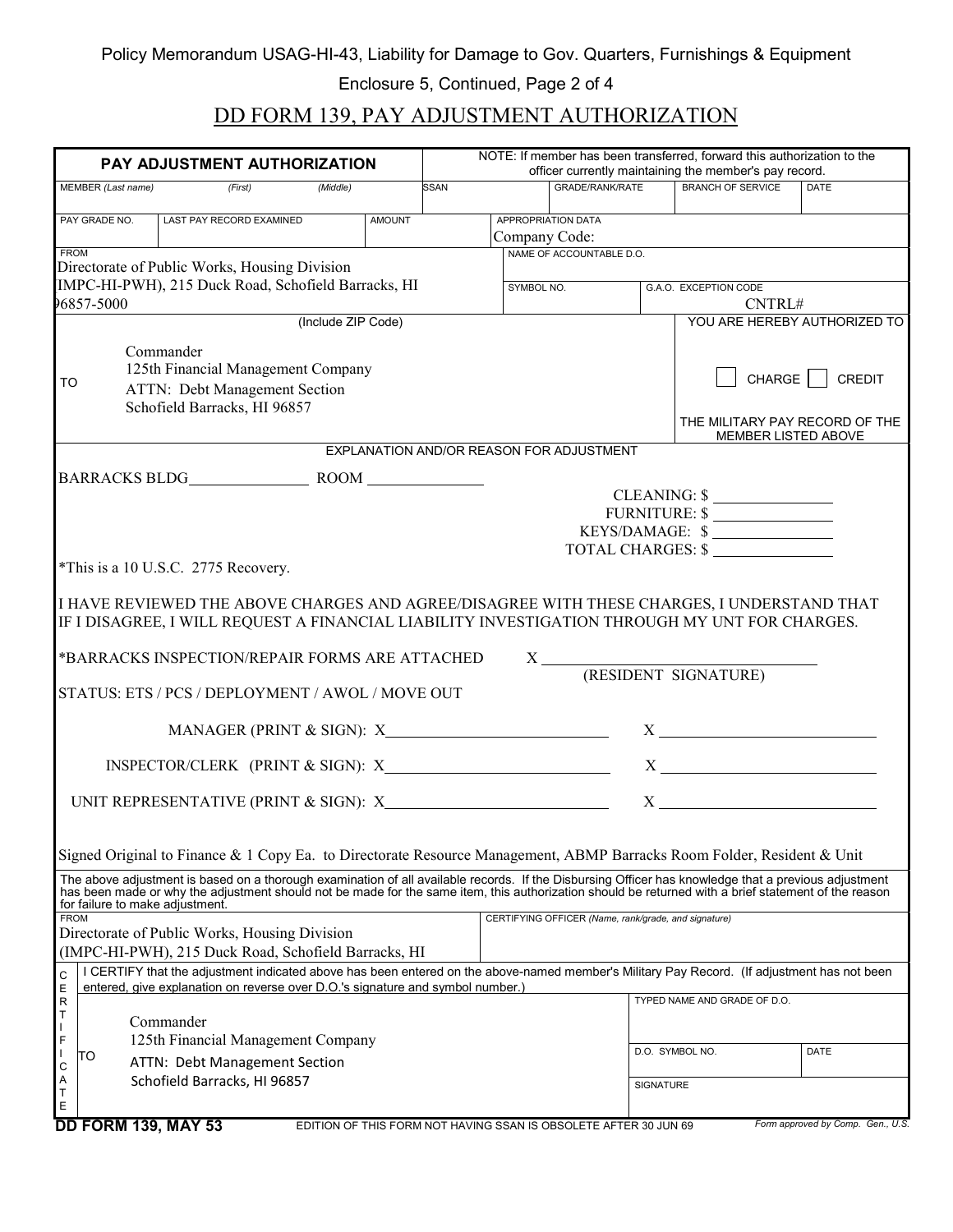Enclosure 5, Continued, Page 2 of 4

# DD FORM 139, PAY ADJUSTMENT AUTHORIZATION

| PAY ADJUSTMENT AUTHORIZATION                                                                                                                                                                                                                                                   | NOTE: If member has been transferred, forward this authorization to the<br>officer currently maintaining the member's pay record. |            |                                                      |                  |                                                                                           |                                   |
|--------------------------------------------------------------------------------------------------------------------------------------------------------------------------------------------------------------------------------------------------------------------------------|-----------------------------------------------------------------------------------------------------------------------------------|------------|------------------------------------------------------|------------------|-------------------------------------------------------------------------------------------|-----------------------------------|
| MEMBER (Last name)<br>(First)<br>(Middle)                                                                                                                                                                                                                                      | <b>SSAN</b>                                                                                                                       |            | <b>GRADE/RANK/RATE</b>                               |                  | <b>BRANCH OF SERVICE</b>                                                                  | <b>DATE</b>                       |
|                                                                                                                                                                                                                                                                                |                                                                                                                                   |            |                                                      |                  |                                                                                           |                                   |
| LAST PAY RECORD EXAMINED<br>PAY GRADE NO.<br><b>AMOUNT</b>                                                                                                                                                                                                                     |                                                                                                                                   |            | APPROPRIATION DATA                                   |                  |                                                                                           |                                   |
| <b>FROM</b>                                                                                                                                                                                                                                                                    |                                                                                                                                   |            | Company Code:<br>NAME OF ACCOUNTABLE D.O.            |                  |                                                                                           |                                   |
| Directorate of Public Works, Housing Division                                                                                                                                                                                                                                  |                                                                                                                                   |            |                                                      |                  |                                                                                           |                                   |
| IMPC-HI-PWH), 215 Duck Road, Schofield Barracks, HI                                                                                                                                                                                                                            |                                                                                                                                   | SYMBOL NO. |                                                      |                  | G.A.O. EXCEPTION CODE                                                                     |                                   |
| 96857-5000                                                                                                                                                                                                                                                                     |                                                                                                                                   |            |                                                      |                  | CNTRL#                                                                                    |                                   |
| (Include ZIP Code)                                                                                                                                                                                                                                                             |                                                                                                                                   |            |                                                      |                  | YOU ARE HEREBY AUTHORIZED TO                                                              |                                   |
| Commander<br>125th Financial Management Company<br>TO<br>ATTN: Debt Management Section<br>Schofield Barracks, HI 96857                                                                                                                                                         |                                                                                                                                   |            |                                                      |                  | CHARGE<br>THE MILITARY PAY RECORD OF THE                                                  | CREDIT                            |
|                                                                                                                                                                                                                                                                                |                                                                                                                                   |            |                                                      |                  | MEMBER LISTED ABOVE                                                                       |                                   |
|                                                                                                                                                                                                                                                                                |                                                                                                                                   |            | EXPLANATION AND/OR REASON FOR ADJUSTMENT             |                  |                                                                                           |                                   |
|                                                                                                                                                                                                                                                                                |                                                                                                                                   |            |                                                      |                  |                                                                                           |                                   |
|                                                                                                                                                                                                                                                                                |                                                                                                                                   |            |                                                      |                  | $CLEANING:$ $\frac{\sqrt{2}}{2}$<br>FURNITURE: \$<br>KEYS/DAMAGE: \$<br>TOTAL CHARGES: \$ |                                   |
| *This is a 10 U.S.C. 2775 Recovery.                                                                                                                                                                                                                                            |                                                                                                                                   |            |                                                      |                  |                                                                                           |                                   |
| *BARRACKS INSPECTION/REPAIR FORMS ARE ATTACHED<br>STATUS: ETS / PCS / DEPLOYMENT / AWOL / MOVE OUT                                                                                                                                                                             |                                                                                                                                   |            |                                                      |                  |                                                                                           |                                   |
|                                                                                                                                                                                                                                                                                |                                                                                                                                   |            |                                                      |                  | $X \longrightarrow $                                                                      |                                   |
| INSPECTOR/CLERK (PRINT & SIGN): $X$ X X                                                                                                                                                                                                                                        |                                                                                                                                   |            |                                                      |                  |                                                                                           |                                   |
|                                                                                                                                                                                                                                                                                |                                                                                                                                   |            |                                                      |                  |                                                                                           |                                   |
| Signed Original to Finance & 1 Copy Ea. to Directorate Resource Management, ABMP Barracks Room Folder, Resident & Unit<br>The above adjustment is based on a thorough examination of all available records. If the Disbursing Officer has knowledge that a previous adjustment |                                                                                                                                   |            |                                                      |                  |                                                                                           |                                   |
| has been made or why the adjustment should not be made for the same item, this authorization should be returned with a brief statement of the reason<br>for failure to make adjustment.                                                                                        |                                                                                                                                   |            |                                                      |                  |                                                                                           |                                   |
| <b>FROM</b>                                                                                                                                                                                                                                                                    |                                                                                                                                   |            | CERTIFYING OFFICER (Name, rank/grade, and signature) |                  |                                                                                           |                                   |
| Directorate of Public Works, Housing Division                                                                                                                                                                                                                                  |                                                                                                                                   |            |                                                      |                  |                                                                                           |                                   |
| (IMPC-HI-PWH), 215 Duck Road, Schofield Barracks, HI                                                                                                                                                                                                                           |                                                                                                                                   |            |                                                      |                  |                                                                                           |                                   |
| I CERTIFY that the adjustment indicated above has been entered on the above-named member's Military Pay Record. (If adjustment has not been<br>C                                                                                                                               |                                                                                                                                   |            |                                                      |                  |                                                                                           |                                   |
| Ε<br>entered, give explanation on reverse over D.O.'s signature and symbol number.)<br>$\mathsf R$                                                                                                                                                                             |                                                                                                                                   |            |                                                      |                  | TYPED NAME AND GRADE OF D.O.                                                              |                                   |
| Τ<br>Commander                                                                                                                                                                                                                                                                 |                                                                                                                                   |            |                                                      |                  |                                                                                           |                                   |
| 125th Financial Management Company<br>F                                                                                                                                                                                                                                        |                                                                                                                                   |            |                                                      |                  |                                                                                           |                                   |
| TO                                                                                                                                                                                                                                                                             |                                                                                                                                   |            |                                                      |                  | D.O. SYMBOL NO.                                                                           | DATE                              |
| ATTN: Debt Management Section<br>C<br>Α<br>Schofield Barracks, HI 96857                                                                                                                                                                                                        |                                                                                                                                   |            |                                                      |                  |                                                                                           |                                   |
| т<br>Е                                                                                                                                                                                                                                                                         |                                                                                                                                   |            |                                                      | <b>SIGNATURE</b> |                                                                                           |                                   |
| <b>DD FORM 139, MAY 53</b><br>EDITION OF THIS FORM NOT HAVING SSAN IS OBSOLETE AFTER 30 JUN 69                                                                                                                                                                                 |                                                                                                                                   |            |                                                      |                  |                                                                                           | Form approved by Comp. Gen., U.S. |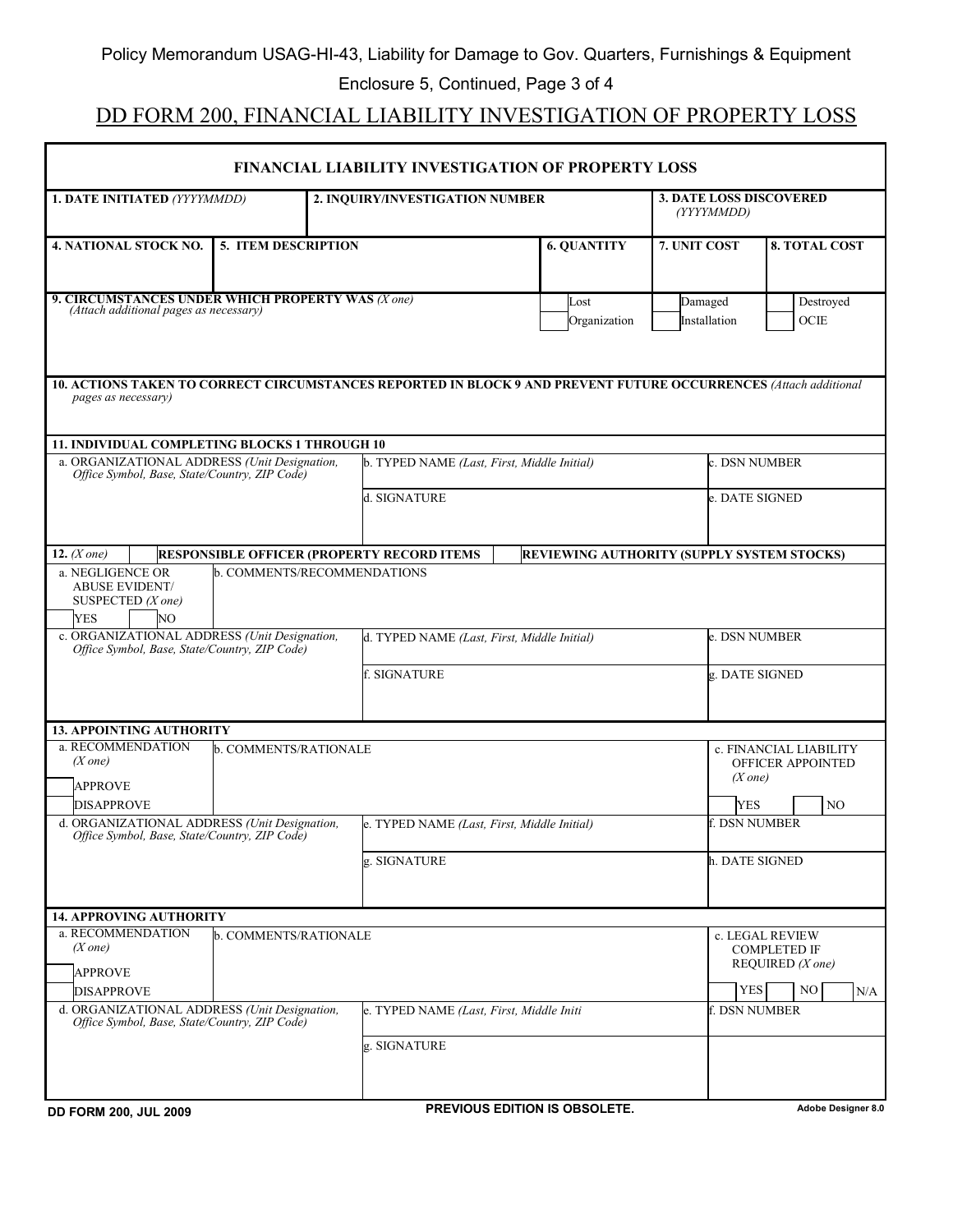## DD FORM 200, FINANCIAL LIABILITY INVESTIGATION OF PROPERTY LOSS

| <b>FINANCIAL LIABILITY INVESTIGATION OF PROPERTY LOSS</b>                                                                               |                                                   |                         |                                            |                                                                             |  |  |  |
|-----------------------------------------------------------------------------------------------------------------------------------------|---------------------------------------------------|-------------------------|--------------------------------------------|-----------------------------------------------------------------------------|--|--|--|
| 1. DATE INITIATED (YYYYMMDD)<br>2. INQUIRY/INVESTIGATION NUMBER                                                                         |                                                   |                         | (YYYYMMDD)                                 | <b>3. DATE LOSS DISCOVERED</b>                                              |  |  |  |
| 4. NATIONAL STOCK NO.<br><b>5. ITEM DESCRIPTION</b>                                                                                     | <b>6. QUANTITY</b>                                | 7. UNIT COST            | <b>8. TOTAL COST</b>                       |                                                                             |  |  |  |
| 9. CIRCUMSTANCES UNDER WHICH PROPERTY WAS (X one)<br>(Attach additional pages as necessary)                                             | Lost<br>Organization                              | Damaged<br>Installation | Destroyed<br>OCE                           |                                                                             |  |  |  |
| 10. ACTIONS TAKEN TO CORRECT CIRCUMSTANCES REPORTED IN BLOCK 9 AND PREVENT FUTURE OCCURRENCES (Attach additional<br>pages as necessary) |                                                   |                         |                                            |                                                                             |  |  |  |
| 11. INDIVIDUAL COMPLETING BLOCKS 1 THROUGH 10                                                                                           |                                                   |                         |                                            |                                                                             |  |  |  |
| a. ORGANIZATIONAL ADDRESS (Unit Designation,<br>Office Symbol, Base, State/Country, ZIP Code)                                           | b. TYPED NAME (Last, First, Middle Initial)       |                         | c. DSN NUMBER                              |                                                                             |  |  |  |
|                                                                                                                                         | d. SIGNATURE                                      |                         |                                            | e. DATE SIGNED                                                              |  |  |  |
| 12. $(X one)$                                                                                                                           | <b>RESPONSIBLE OFFICER (PROPERTY RECORD ITEMS</b> |                         | REVIEWING AUTHORITY (SUPPLY SYSTEM STOCKS) |                                                                             |  |  |  |
| a. NEGLIGENCE OR<br><b>ABUSE EVIDENT/</b><br>SUSPECTED $(X \text{ one})$<br><b>YES</b><br>NO <sub>1</sub>                               | b. COMMENTS/RECOMMENDATIONS                       |                         |                                            |                                                                             |  |  |  |
| c. ORGANIZATIONAL ADDRESS (Unit Designation,<br>Office Symbol, Base, State/Country, ZIP Code)                                           | e. DSN NUMBER                                     |                         |                                            |                                                                             |  |  |  |
|                                                                                                                                         | f. SIGNATURE                                      |                         | g. DATE SIGNED                             |                                                                             |  |  |  |
| <b>13. APPOINTING AUTHORITY</b>                                                                                                         |                                                   |                         |                                            |                                                                             |  |  |  |
| a. RECOMMENDATION<br>b. COMMENTS/RATIONALE<br>$(X \text{ one})$<br><b>APPROVE</b>                                                       |                                                   |                         | $(X \text{ one})$<br><b>YES</b>            | c. FINANCIAL LIABILITY<br>OFFICER APPOINTED                                 |  |  |  |
| <b>DISAPPROVE</b>                                                                                                                       |                                                   |                         |                                            | N <sub>O</sub><br>f. DSN NUMBER                                             |  |  |  |
| d. ORGANIZATIONAL ADDRESS (Unit Designation,<br>Office Symbol, Base, State/Country, ZIP Code)                                           | e. TYPED NAME (Last, First, Middle Initial)       |                         |                                            |                                                                             |  |  |  |
|                                                                                                                                         | g. SIGNATURE                                      |                         | h. DATE SIGNED                             |                                                                             |  |  |  |
| <b>14. APPROVING AUTHORITY</b>                                                                                                          |                                                   |                         |                                            |                                                                             |  |  |  |
| a. RECOMMENDATION<br>b. COMMENTS/RATIONALE<br>$(X \text{ one})$<br><b>APPROVE</b>                                                       |                                                   |                         | <b>YES</b>                                 | c. LEGAL REVIEW<br><b>COMPLETED IF</b><br>REQUIRED $(X \text{ one})$<br>NO. |  |  |  |
| <b>DISAPPROVE</b><br>d. ORGANIZATIONAL ADDRESS (Unit Designation.                                                                       | e. TYPED NAME (Last, First, Middle Initi          |                         | f. DSN NUMBER                              | N/A                                                                         |  |  |  |
| Office Symbol, Base, State/Country, ZIP Code)                                                                                           | g. SIGNATURE                                      |                         |                                            |                                                                             |  |  |  |
| <b>DD FORM 200, JUL 2009</b>                                                                                                            | PREVIOUS EDITION IS OBSOLETE.                     |                         |                                            | Adobe Designer 8.0                                                          |  |  |  |